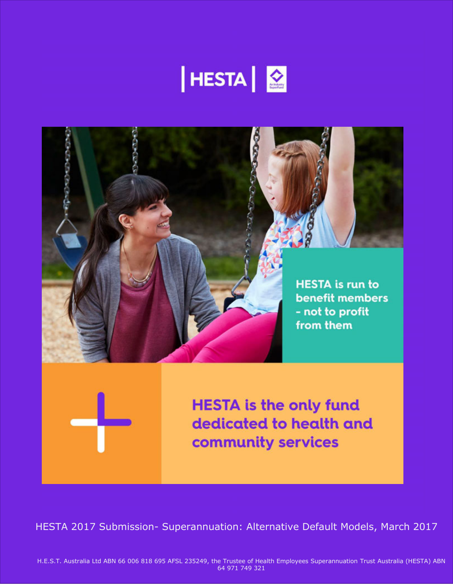



HESTA 2017 Submission- Superannuation: Alternative Default Models, March 2017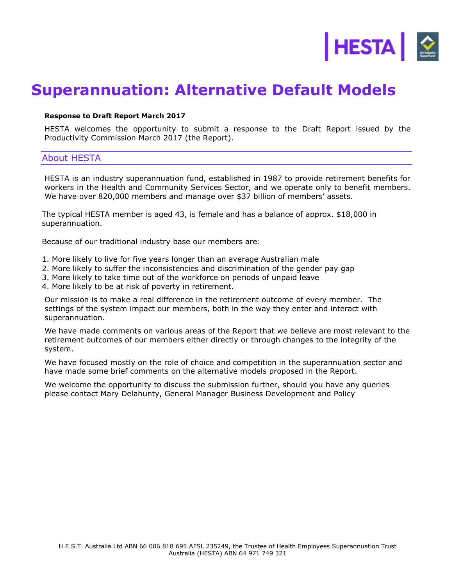

# **Superannuation: Alternative Default Models**

#### **Response to Draft Report March 2017**

HESTA welcomes the opportunity to submit a response to the Draft Report issued by the Productivity Commission March 2017 (the Report).

## About HESTA

HESTA is an industry superannuation fund, established in 1987 to provide retirement benefits for workers in the Health and Community Services Sector, and we operate only to benefit members. We have over 820,000 members and manage over \$37 billion of members' assets.

The typical HESTA member is aged 43, is female and has a balance of approx. \$18,000 in superannuation.

Because of our traditional industry base our members are:

- 1. More likely to live for five years longer than an average Australian male
- 2. More likely to suffer the inconsistencies and discrimination of the gender pay gap
- 3. More likely to take time out of the workforce on periods of unpaid leave
- 4. More likely to be at risk of poverty in retirement.

Our mission is to make a real difference in the retirement outcome of every member. The settings of the system impact our members, both in the way they enter and interact with superannuation.

We have made comments on various areas of the Report that we believe are most relevant to the retirement outcomes of our members either directly or through changes to the integrity of the system.

We have focused mostly on the role of choice and competition in the superannuation sector and have made some brief comments on the alternative models proposed in the Report.

We welcome the opportunity to discuss the submission further, should you have any queries please contact Mary Delahunty, General Manager Business Development and Policy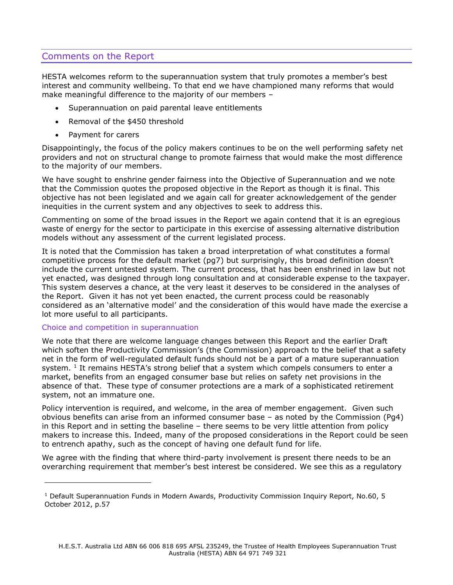# Comments on the Report

HESTA welcomes reform to the superannuation system that truly promotes a member's best interest and community wellbeing. To that end we have championed many reforms that would make meaningful difference to the majority of our members –

- Superannuation on paid parental leave entitlements
- Removal of the \$450 threshold
- Payment for carers

Disappointingly, the focus of the policy makers continues to be on the well performing safety net providers and not on structural change to promote fairness that would make the most difference to the majority of our members.

We have sought to enshrine gender fairness into the Objective of Superannuation and we note that the Commission quotes the proposed objective in the Report as though it is final. This objective has not been legislated and we again call for greater acknowledgement of the gender inequities in the current system and any objectives to seek to address this.

Commenting on some of the broad issues in the Report we again contend that it is an egregious waste of energy for the sector to participate in this exercise of assessing alternative distribution models without any assessment of the current legislated process.

It is noted that the Commission has taken a broad interpretation of what constitutes a formal competitive process for the default market (pg7) but surprisingly, this broad definition doesn't include the current untested system. The current process, that has been enshrined in law but not yet enacted, was designed through long consultation and at considerable expense to the taxpayer. This system deserves a chance, at the very least it deserves to be considered in the analyses of the Report. Given it has not yet been enacted, the current process could be reasonably considered as an 'alternative model' and the consideration of this would have made the exercise a lot more useful to all participants.

#### Choice and competition in superannuation

ı

We note that there are welcome language changes between this Report and the earlier Draft which soften the Productivity Commission's (the Commission) approach to the belief that a safety net in the form of well-regulated default funds should not be a part of a mature superannuation system.  $1$  It remains HESTA's strong belief that a system which compels consumers to enter a market, benefits from an engaged consumer base but relies on safety net provisions in the absence of that. These type of consumer protections are a mark of a sophisticated retirement system, not an immature one.

Policy intervention is required, and welcome, in the area of member engagement. Given such obvious benefits can arise from an informed consumer base – as noted by the Commission (Pg4) in this Report and in setting the baseline – there seems to be very little attention from policy makers to increase this. Indeed, many of the proposed considerations in the Report could be seen to entrench apathy, such as the concept of having one default fund for life.

We agree with the finding that where third-party involvement is present there needs to be an overarching requirement that member's best interest be considered. We see this as a regulatory

<sup>&</sup>lt;sup>1</sup> Default Superannuation Funds in Modern Awards, Productivity Commission Inquiry Report, No.60, 5 October 2012, p.57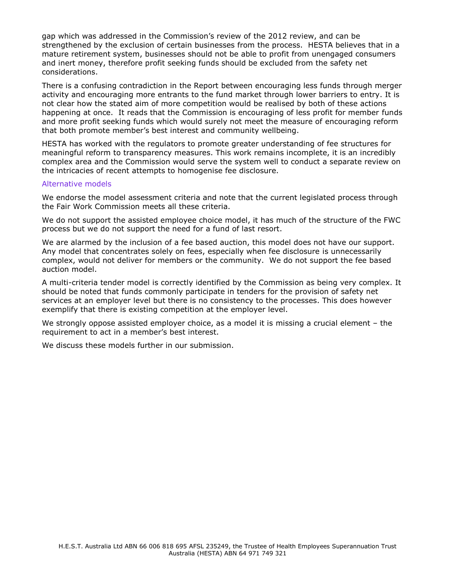gap which was addressed in the Commission's review of the 2012 review, and can be strengthened by the exclusion of certain businesses from the process. HESTA believes that in a mature retirement system, businesses should not be able to profit from unengaged consumers and inert money, therefore profit seeking funds should be excluded from the safety net considerations.

There is a confusing contradiction in the Report between encouraging less funds through merger activity and encouraging more entrants to the fund market through lower barriers to entry. It is not clear how the stated aim of more competition would be realised by both of these actions happening at once. It reads that the Commission is encouraging of less profit for member funds and more profit seeking funds which would surely not meet the measure of encouraging reform that both promote member's best interest and community wellbeing.

HESTA has worked with the regulators to promote greater understanding of fee structures for meaningful reform to transparency measures. This work remains incomplete, it is an incredibly complex area and the Commission would serve the system well to conduct a separate review on the intricacies of recent attempts to homogenise fee disclosure.

#### Alternative models

We endorse the model assessment criteria and note that the current legislated process through the Fair Work Commission meets all these criteria.

We do not support the assisted employee choice model, it has much of the structure of the FWC process but we do not support the need for a fund of last resort.

We are alarmed by the inclusion of a fee based auction, this model does not have our support. Any model that concentrates solely on fees, especially when fee disclosure is unnecessarily complex, would not deliver for members or the community. We do not support the fee based auction model.

A multi-criteria tender model is correctly identified by the Commission as being very complex. It should be noted that funds commonly participate in tenders for the provision of safety net services at an employer level but there is no consistency to the processes. This does however exemplify that there is existing competition at the employer level.

We strongly oppose assisted employer choice, as a model it is missing a crucial element – the requirement to act in a member's best interest.

We discuss these models further in our submission.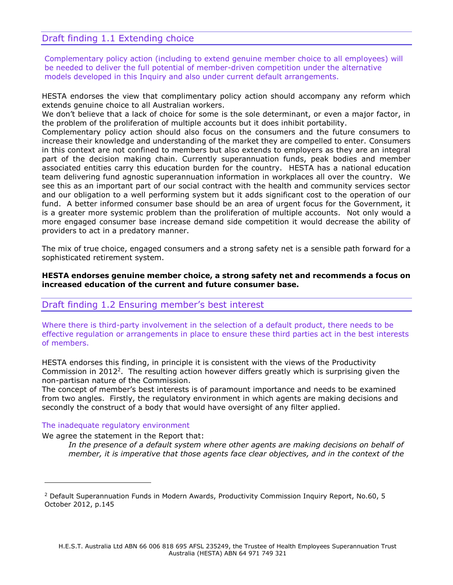## Draft finding 1.1 Extending choice

Complementary policy action (including to extend genuine member choice to all employees) will be needed to deliver the full potential of member-driven competition under the alternative models developed in this Inquiry and also under current default arrangements.

HESTA endorses the view that complimentary policy action should accompany any reform which extends genuine choice to all Australian workers.

We don't believe that a lack of choice for some is the sole determinant, or even a major factor, in the problem of the proliferation of multiple accounts but it does inhibit portability.

Complementary policy action should also focus on the consumers and the future consumers to increase their knowledge and understanding of the market they are compelled to enter. Consumers in this context are not confined to members but also extends to employers as they are an integral part of the decision making chain. Currently superannuation funds, peak bodies and member associated entities carry this education burden for the country. HESTA has a national education team delivering fund agnostic superannuation information in workplaces all over the country. We see this as an important part of our social contract with the health and community services sector and our obligation to a well performing system but it adds significant cost to the operation of our fund. A better informed consumer base should be an area of urgent focus for the Government, it is a greater more systemic problem than the proliferation of multiple accounts. Not only would a more engaged consumer base increase demand side competition it would decrease the ability of providers to act in a predatory manner.

The mix of true choice, engaged consumers and a strong safety net is a sensible path forward for a sophisticated retirement system.

#### **HESTA endorses genuine member choice, a strong safety net and recommends a focus on increased education of the current and future consumer base.**

## Draft finding 1.2 Ensuring member's best interest

Where there is third-party involvement in the selection of a default product, there needs to be effective regulation or arrangements in place to ensure these third parties act in the best interests of members.

HESTA endorses this finding, in principle it is consistent with the views of the Productivity Commission in 2012<sup>2</sup>. The resulting action however differs greatly which is surprising given the non-partisan nature of the Commission.

The concept of member's best interests is of paramount importance and needs to be examined from two angles. Firstly, the regulatory environment in which agents are making decisions and secondly the construct of a body that would have oversight of any filter applied.

#### The inadequate regulatory environment

ı

We agree the statement in the Report that:

*In the presence of a default system where other agents are making decisions on behalf of member, it is imperative that those agents face clear objectives, and in the context of the* 

<sup>&</sup>lt;sup>2</sup> Default Superannuation Funds in Modern Awards, Productivity Commission Inquiry Report, No.60, 5 October 2012, p.145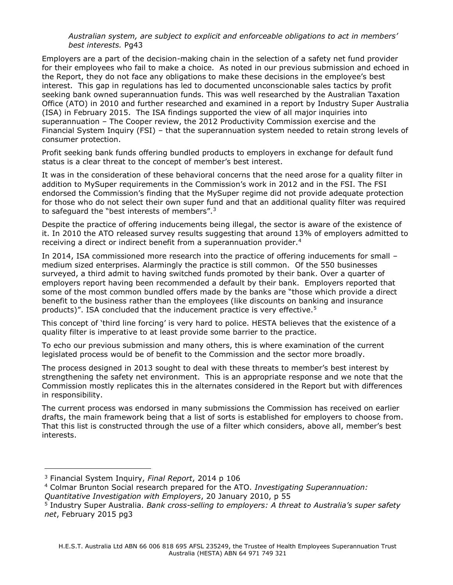#### *Australian system, are subject to explicit and enforceable obligations to act in members' best interests.* Pg43

Employers are a part of the decision-making chain in the selection of a safety net fund provider for their employees who fail to make a choice. As noted in our previous submission and echoed in the Report, they do not face any obligations to make these decisions in the employee's best interest. This gap in regulations has led to documented unconscionable sales tactics by profit seeking bank owned superannuation funds. This was well researched by the Australian Taxation Office (ATO) in 2010 and further researched and examined in a report by Industry Super Australia (ISA) in February 2015. The ISA findings supported the view of all major inquiries into superannuation – The Cooper review, the 2012 Productivity Commission exercise and the Financial System Inquiry (FSI) – that the superannuation system needed to retain strong levels of consumer protection.

Profit seeking bank funds offering bundled products to employers in exchange for default fund status is a clear threat to the concept of member's best interest.

It was in the consideration of these behavioral concerns that the need arose for a quality filter in addition to MySuper requirements in the Commission's work in 2012 and in the FSI. The FSI endorsed the Commission's finding that the MySuper regime did not provide adequate protection for those who do not select their own super fund and that an additional quality filter was required to safeguard the "best interests of members".<sup>3</sup>

Despite the practice of offering inducements being illegal, the sector is aware of the existence of it. In 2010 the ATO released survey results suggesting that around 13% of employers admitted to receiving a direct or indirect benefit from a superannuation provider.<sup>4</sup>

In 2014, ISA commissioned more research into the practice of offering inducements for small – medium sized enterprises. Alarmingly the practice is still common. Of the 550 businesses surveyed, a third admit to having switched funds promoted by their bank. Over a quarter of employers report having been recommended a default by their bank. Employers reported that some of the most common bundled offers made by the banks are "those which provide a direct benefit to the business rather than the employees (like discounts on banking and insurance products)". ISA concluded that the inducement practice is very effective.<sup>5</sup>

This concept of 'third line forcing' is very hard to police. HESTA believes that the existence of a quality filter is imperative to at least provide some barrier to the practice.

To echo our previous submission and many others, this is where examination of the current legislated process would be of benefit to the Commission and the sector more broadly.

The process designed in 2013 sought to deal with these threats to member's best interest by strengthening the safety net environment. This is an appropriate response and we note that the Commission mostly replicates this in the alternates considered in the Report but with differences in responsibility.

The current process was endorsed in many submissions the Commission has received on earlier drafts, the main framework being that a list of sorts is established for employers to choose from. That this list is constructed through the use of a filter which considers, above all, member's best interests.

ı

<sup>3</sup> Financial System Inquiry, *Final Report*, 2014 p 106

<sup>4</sup> Colmar Brunton Social research prepared for the ATO. *Investigating Superannuation:* 

*Quantitative Investigation with Employers*, 20 January 2010, p 55

<sup>5</sup> Industry Super Australia. *Bank cross-selling to employers: A threat to Australia's super safety net*, February 2015 pg3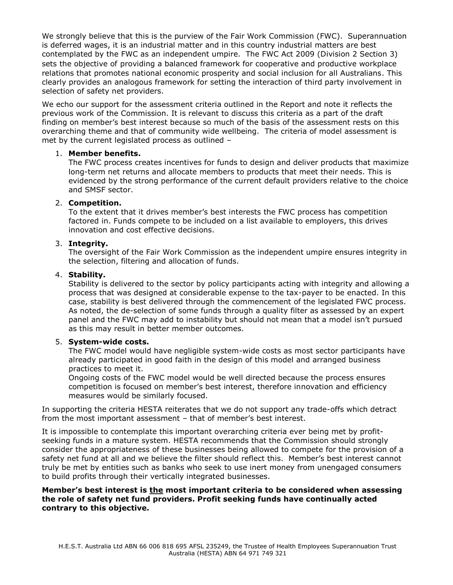We strongly believe that this is the purview of the Fair Work Commission (FWC). Superannuation is deferred wages, it is an industrial matter and in this country industrial matters are best contemplated by the FWC as an independent umpire. The FWC Act 2009 (Division 2 Section 3) sets the objective of providing a balanced framework for cooperative and productive workplace relations that promotes national economic prosperity and social inclusion for all Australians. This clearly provides an analogous framework for setting the interaction of third party involvement in selection of safety net providers.

We echo our support for the assessment criteria outlined in the Report and note it reflects the previous work of the Commission. It is relevant to discuss this criteria as a part of the draft finding on member's best interest because so much of the basis of the assessment rests on this overarching theme and that of community wide wellbeing. The criteria of model assessment is met by the current legislated process as outlined –

#### 1. **Member benefits.**

The FWC process creates incentives for funds to design and deliver products that maximize long-term net returns and allocate members to products that meet their needs. This is evidenced by the strong performance of the current default providers relative to the choice and SMSF sector.

#### 2. **Competition.**

To the extent that it drives member's best interests the FWC process has competition factored in. Funds compete to be included on a list available to employers, this drives innovation and cost effective decisions.

#### 3. **Integrity.**

The oversight of the Fair Work Commission as the independent umpire ensures integrity in the selection, filtering and allocation of funds.

#### 4. **Stability.**

Stability is delivered to the sector by policy participants acting with integrity and allowing a process that was designed at considerable expense to the tax-payer to be enacted. In this case, stability is best delivered through the commencement of the legislated FWC process. As noted, the de-selection of some funds through a quality filter as assessed by an expert panel and the FWC may add to instability but should not mean that a model isn't pursued as this may result in better member outcomes.

## 5. **System-wide costs.**

The FWC model would have negligible system-wide costs as most sector participants have already participated in good faith in the design of this model and arranged business practices to meet it.

Ongoing costs of the FWC model would be well directed because the process ensures competition is focused on member's best interest, therefore innovation and efficiency measures would be similarly focused.

In supporting the criteria HESTA reiterates that we do not support any trade-offs which detract from the most important assessment – that of member's best interest.

It is impossible to contemplate this important overarching criteria ever being met by profitseeking funds in a mature system. HESTA recommends that the Commission should strongly consider the appropriateness of these businesses being allowed to compete for the provision of a safety net fund at all and we believe the filter should reflect this. Member's best interest cannot truly be met by entities such as banks who seek to use inert money from unengaged consumers to build profits through their vertically integrated businesses.

#### **Member's best interest is the most important criteria to be considered when assessing the role of safety net fund providers. Profit seeking funds have continually acted contrary to this objective.**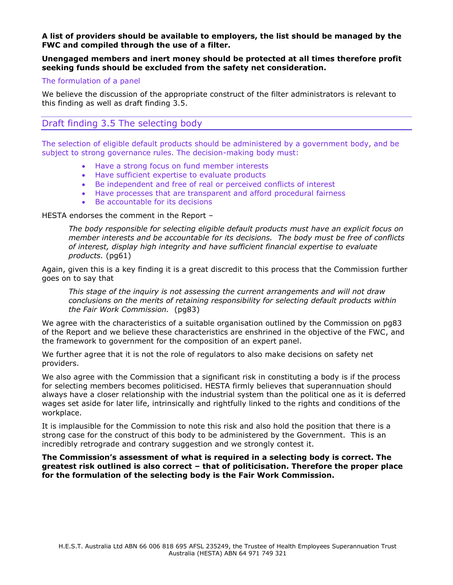#### **A list of providers should be available to employers, the list should be managed by the FWC and compiled through the use of a filter.**

#### **Unengaged members and inert money should be protected at all times therefore profit seeking funds should be excluded from the safety net consideration.**

#### The formulation of a panel

We believe the discussion of the appropriate construct of the filter administrators is relevant to this finding as well as draft finding 3.5.

## Draft finding 3.5 The selecting body

The selection of eligible default products should be administered by a government body, and be subject to strong governance rules. The decision-making body must:

- Have a strong focus on fund member interests
- Have sufficient expertise to evaluate products
- Be independent and free of real or perceived conflicts of interest
- Have processes that are transparent and afford procedural fairness
- Be accountable for its decisions

#### HESTA endorses the comment in the Report –

*The body responsible for selecting eligible default products must have an explicit focus on member interests and be accountable for its decisions. The body must be free of conflicts of interest, display high integrity and have sufficient financial expertise to evaluate products.* (pg61)

Again, given this is a key finding it is a great discredit to this process that the Commission further goes on to say that

*This stage of the inquiry is not assessing the current arrangements and will not draw conclusions on the merits of retaining responsibility for selecting default products within the Fair Work Commission.* (pg83)

We agree with the characteristics of a suitable organisation outlined by the Commission on pg83 of the Report and we believe these characteristics are enshrined in the objective of the FWC, and the framework to government for the composition of an expert panel.

We further agree that it is not the role of regulators to also make decisions on safety net providers.

We also agree with the Commission that a significant risk in constituting a body is if the process for selecting members becomes politicised. HESTA firmly believes that superannuation should always have a closer relationship with the industrial system than the political one as it is deferred wages set aside for later life, intrinsically and rightfully linked to the rights and conditions of the workplace.

It is implausible for the Commission to note this risk and also hold the position that there is a strong case for the construct of this body to be administered by the Government. This is an incredibly retrograde and contrary suggestion and we strongly contest it.

**The Commission's assessment of what is required in a selecting body is correct. The greatest risk outlined is also correct – that of politicisation. Therefore the proper place for the formulation of the selecting body is the Fair Work Commission.**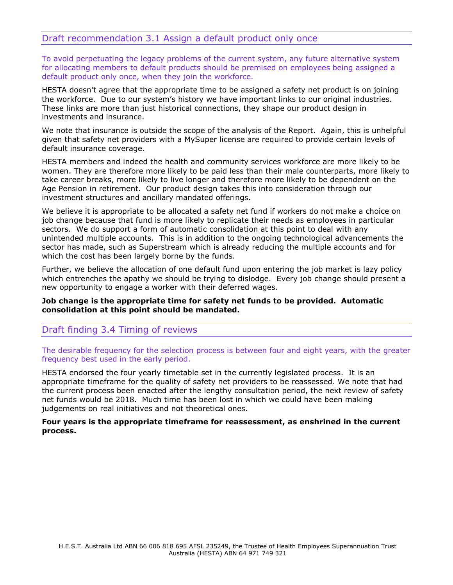## Draft recommendation 3.1 Assign a default product only once

To avoid perpetuating the legacy problems of the current system, any future alternative system for allocating members to default products should be premised on employees being assigned a default product only once, when they join the workforce.

HESTA doesn't agree that the appropriate time to be assigned a safety net product is on joining the workforce. Due to our system's history we have important links to our original industries. These links are more than just historical connections, they shape our product design in investments and insurance.

We note that insurance is outside the scope of the analysis of the Report. Again, this is unhelpful given that safety net providers with a MySuper license are required to provide certain levels of default insurance coverage.

HESTA members and indeed the health and community services workforce are more likely to be women. They are therefore more likely to be paid less than their male counterparts, more likely to take career breaks, more likely to live longer and therefore more likely to be dependent on the Age Pension in retirement. Our product design takes this into consideration through our investment structures and ancillary mandated offerings.

We believe it is appropriate to be allocated a safety net fund if workers do not make a choice on job change because that fund is more likely to replicate their needs as employees in particular sectors. We do support a form of automatic consolidation at this point to deal with any unintended multiple accounts. This is in addition to the ongoing technological advancements the sector has made, such as Superstream which is already reducing the multiple accounts and for which the cost has been largely borne by the funds.

Further, we believe the allocation of one default fund upon entering the job market is lazy policy which entrenches the apathy we should be trying to dislodge. Every job change should present a new opportunity to engage a worker with their deferred wages.

#### **Job change is the appropriate time for safety net funds to be provided. Automatic consolidation at this point should be mandated.**

## Draft finding 3.4 Timing of reviews

The desirable frequency for the selection process is between four and eight years, with the greater frequency best used in the early period.

HESTA endorsed the four yearly timetable set in the currently legislated process. It is an appropriate timeframe for the quality of safety net providers to be reassessed. We note that had the current process been enacted after the lengthy consultation period, the next review of safety net funds would be 2018. Much time has been lost in which we could have been making judgements on real initiatives and not theoretical ones.

#### **Four years is the appropriate timeframe for reassessment, as enshrined in the current process.**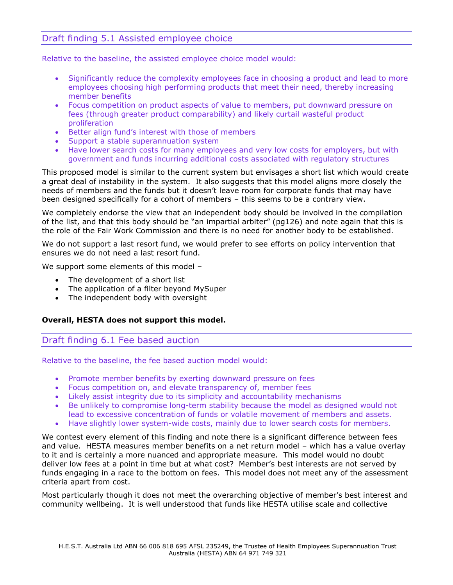# Draft finding 5.1 Assisted employee choice

Relative to the baseline, the assisted employee choice model would:

- Significantly reduce the complexity employees face in choosing a product and lead to more employees choosing high performing products that meet their need, thereby increasing member benefits
- Focus competition on product aspects of value to members, put downward pressure on fees (through greater product comparability) and likely curtail wasteful product proliferation
- Better align fund's interest with those of members
- Support a stable superannuation system
- Have lower search costs for many employees and very low costs for employers, but with government and funds incurring additional costs associated with regulatory structures

This proposed model is similar to the current system but envisages a short list which would create a great deal of instability in the system. It also suggests that this model aligns more closely the needs of members and the funds but it doesn't leave room for corporate funds that may have been designed specifically for a cohort of members – this seems to be a contrary view.

We completely endorse the view that an independent body should be involved in the compilation of the list, and that this body should be "an impartial arbiter" (pg126) and note again that this is the role of the Fair Work Commission and there is no need for another body to be established.

We do not support a last resort fund, we would prefer to see efforts on policy intervention that ensures we do not need a last resort fund.

We support some elements of this model –

- The development of a short list
- The application of a filter beyond MySuper
- The independent body with oversight

#### **Overall, HESTA does not support this model.**

## Draft finding 6.1 Fee based auction

Relative to the baseline, the fee based auction model would:

- Promote member benefits by exerting downward pressure on fees
- Focus competition on, and elevate transparency of, member fees
- Likely assist integrity due to its simplicity and accountability mechanisms
- Be unlikely to compromise long-term stability because the model as designed would not lead to excessive concentration of funds or volatile movement of members and assets.
- Have slightly lower system-wide costs, mainly due to lower search costs for members.

We contest every element of this finding and note there is a significant difference between fees and value. HESTA measures member benefits on a net return model – which has a value overlay to it and is certainly a more nuanced and appropriate measure. This model would no doubt deliver low fees at a point in time but at what cost? Member's best interests are not served by funds engaging in a race to the bottom on fees. This model does not meet any of the assessment criteria apart from cost.

Most particularly though it does not meet the overarching objective of member's best interest and community wellbeing. It is well understood that funds like HESTA utilise scale and collective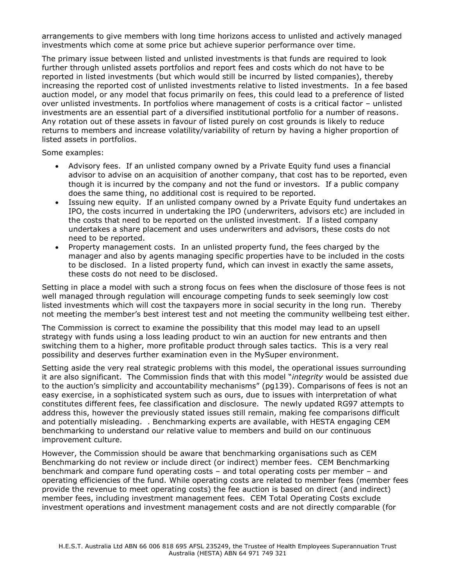arrangements to give members with long time horizons access to unlisted and actively managed investments which come at some price but achieve superior performance over time.

The primary issue between listed and unlisted investments is that funds are required to look further through unlisted assets portfolios and report fees and costs which do not have to be reported in listed investments (but which would still be incurred by listed companies), thereby increasing the reported cost of unlisted investments relative to listed investments. In a fee based auction model, or any model that focus primarily on fees, this could lead to a preference of listed over unlisted investments. In portfolios where management of costs is a critical factor – unlisted investments are an essential part of a diversified institutional portfolio for a number of reasons. Any rotation out of these assets in favour of listed purely on cost grounds is likely to reduce returns to members and increase volatility/variability of return by having a higher proportion of listed assets in portfolios.

Some examples:

- Advisory fees. If an unlisted company owned by a Private Equity fund uses a financial advisor to advise on an acquisition of another company, that cost has to be reported, even though it is incurred by the company and not the fund or investors. If a public company does the same thing, no additional cost is required to be reported.
- Issuing new equity. If an unlisted company owned by a Private Equity fund undertakes an IPO, the costs incurred in undertaking the IPO (underwriters, advisors etc) are included in the costs that need to be reported on the unlisted investment. If a listed company undertakes a share placement and uses underwriters and advisors, these costs do not need to be reported.
- Property management costs. In an unlisted property fund, the fees charged by the manager and also by agents managing specific properties have to be included in the costs to be disclosed. In a listed property fund, which can invest in exactly the same assets, these costs do not need to be disclosed.

Setting in place a model with such a strong focus on fees when the disclosure of those fees is not well managed through regulation will encourage competing funds to seek seemingly low cost listed investments which will cost the taxpayers more in social security in the long run. Thereby not meeting the member's best interest test and not meeting the community wellbeing test either.

The Commission is correct to examine the possibility that this model may lead to an upsell strategy with funds using a loss leading product to win an auction for new entrants and then switching them to a higher, more profitable product through sales tactics. This is a very real possibility and deserves further examination even in the MySuper environment.

Setting aside the very real strategic problems with this model, the operational issues surrounding it are also significant. The Commission finds that with this model "*integrity* would be assisted due to the auction's simplicity and accountability mechanisms" (pg139). Comparisons of fees is not an easy exercise, in a sophisticated system such as ours, due to issues with interpretation of what constitutes different fees, fee classification and disclosure. The newly updated RG97 attempts to address this, however the previously stated issues still remain, making fee comparisons difficult and potentially misleading. . Benchmarking experts are available, with HESTA engaging CEM benchmarking to understand our relative value to members and build on our continuous improvement culture.

However, the Commission should be aware that benchmarking organisations such as CEM Benchmarking do not review or include direct (or indirect) member fees. CEM Benchmarking benchmark and compare fund operating costs – and total operating costs per member – and operating efficiencies of the fund. While operating costs are related to member fees (member fees provide the revenue to meet operating costs) the fee auction is based on direct (and indirect) member fees, including investment management fees. CEM Total Operating Costs exclude investment operations and investment management costs and are not directly comparable (for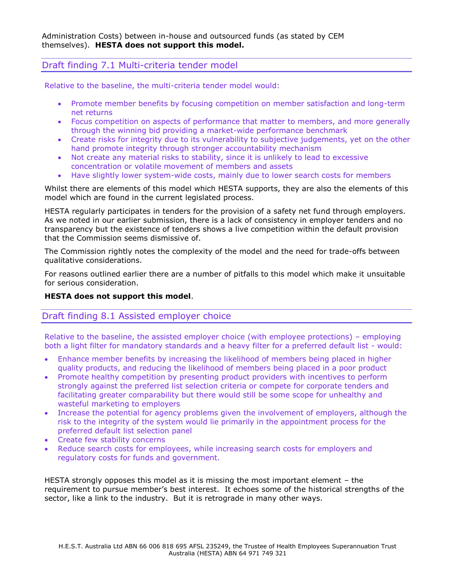## Draft finding 7.1 Multi-criteria tender model

Relative to the baseline, the multi-criteria tender model would:

- Promote member benefits by focusing competition on member satisfaction and long-term net returns
- Focus competition on aspects of performance that matter to members, and more generally through the winning bid providing a market-wide performance benchmark
- Create risks for integrity due to its vulnerability to subjective judgements, yet on the other hand promote integrity through stronger accountability mechanism
- Not create any material risks to stability, since it is unlikely to lead to excessive concentration or volatile movement of members and assets
- Have slightly lower system-wide costs, mainly due to lower search costs for members

Whilst there are elements of this model which HESTA supports, they are also the elements of this model which are found in the current legislated process.

HESTA regularly participates in tenders for the provision of a safety net fund through employers. As we noted in our earlier submission, there is a lack of consistency in employer tenders and no transparency but the existence of tenders shows a live competition within the default provision that the Commission seems dismissive of.

The Commission rightly notes the complexity of the model and the need for trade-offs between qualitative considerations.

For reasons outlined earlier there are a number of pitfalls to this model which make it unsuitable for serious consideration.

## **HESTA does not support this model**.

## Draft finding 8.1 Assisted employer choice

Relative to the baseline, the assisted employer choice (with employee protections) – employing both a light filter for mandatory standards and a heavy filter for a preferred default list - would:

- Enhance member benefits by increasing the likelihood of members being placed in higher quality products, and reducing the likelihood of members being placed in a poor product
- Promote healthy competition by presenting product providers with incentives to perform strongly against the preferred list selection criteria or compete for corporate tenders and facilitating greater comparability but there would still be some scope for unhealthy and wasteful marketing to employers
- Increase the potential for agency problems given the involvement of employers, although the risk to the integrity of the system would lie primarily in the appointment process for the preferred default list selection panel
- Create few stability concerns
- Reduce search costs for employees, while increasing search costs for employers and regulatory costs for funds and government.

HESTA strongly opposes this model as it is missing the most important element – the requirement to pursue member's best interest. It echoes some of the historical strengths of the sector, like a link to the industry. But it is retrograde in many other ways.